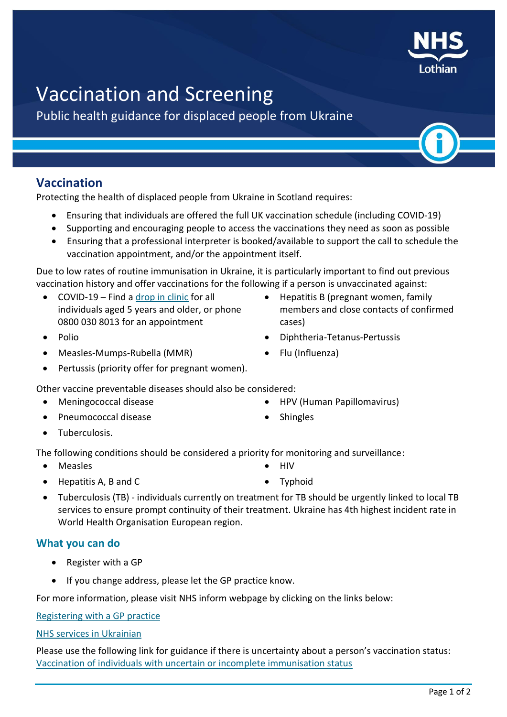# Vaccination and Screening

Public health guidance for displaced people from Ukraine

# **Vaccination**

Protecting the health of displaced people from Ukraine in Scotland requires:

- Ensuring that individuals are offered the full UK vaccination schedule (including COVID-19)
- Supporting and encouraging people to access the vaccinations they need as soon as possible
- Ensuring that a professional interpreter is booked/available to support the call to schedule the vaccination appointment, and/or the appointment itself.

Due to low rates of routine immunisation in Ukraine, it is particularly important to find out previous vaccination history and offer vaccinations for the following if a person is unvaccinated against:

- COVID-19 Find a [drop in clinic](https://www.nhslothian.scot/Coronavirus/Vaccine/Pages/Drop-in-Clinics.aspx) for all individuals aged 5 years and older, or phone 0800 030 8013 for an appointment
- Polio Diphtheria-Tetanus-Pertussis
- Measles-Mumps-Rubella (MMR) Flu (Influenza)
- Pertussis (priority offer for pregnant women).

Other vaccine preventable diseases should also be considered:

- Meningococcal disease HPV (Human Papillomavirus)
- Pneumococcal disease strategy of the Shingles
- Tuberculosis.

The following conditions should be considered a priority for monitoring and surveillance:

- Measles HIV
- Hepatitis A, B and C and C and C and C and C and C and C and Typhoid
- Tuberculosis (TB) individuals currently on treatment for TB should be urgently linked to local TB services to ensure prompt continuity of their treatment. Ukraine has 4th highest incident rate in World Health Organisation European region.

## **What you can do**

- Register with a GP
- If you change address, please let the GP practice know.

For more information, please visit NHS inform webpage by clicking on the links below:

Registering with [a GP practice](http://www.nhsinform.scot/care-support-and-rights/nhs-services/doctors/registering-with-a-gp-practice/)

[NHS services in Ukrainian](http://www.nhsinform.scot/media/7109/a-guide-to-nhs-scotland-services-for-displaced-persons-from-ukraine-060422-ukrainian.pdf)

Please use the following link for guidance if there is uncertainty about a person's vaccination status: [Vaccination of individuals with uncertain or incomplete immunisation status](https://assets.publishing.service.gov.uk/government/uploads/system/uploads/attachment_data/file/1061038/UKHSA-12287-algorithm-immunisation-status-Mar22.pdf)

• Hepatitis B (pregnant women, family

members and close contacts of confirmed

- 
- 

cases)

- 
- 
-